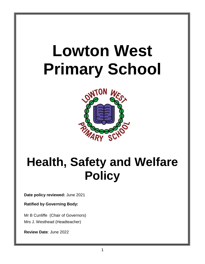# **Lowton West Primary School**



# **Health, Safety and Welfare Policy**

**Date policy reviewed:** June 2021

**Ratified by Governing Body:**

Mr B Cunliffe (Chair of Governors) Mrs J. Westhead (Headteacher)

**Review Date**: June 2022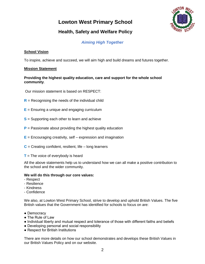## **Lowton West Primary School**



### **Health, Safety and Welfare Policy**

#### *Aiming High Together*

#### **School Vision**

To inspire, achieve and succeed, we will aim high and build dreams and futures together.

#### **Mission Statement**

#### **Providing the highest quality education, care and support for the whole school community**.

Our mission statement is based on RESPECT:

- **R** = Recognising the needs of the individual child
- **E** = Ensuring a unique and engaging curriculum
- **S** = Supporting each other to learn and achieve
- **P** = Passionate about providing the highest quality education
- **E** = Encouraging creativity, self expression and imagination
- $C =$  Creating confident, resilient, life  $-$  long learners
- **T** = The voice of everybody is heard

All the above statements help us to understand how we can all make a positive contribution to the school and the wider community.

#### **We will do this through our core values:**

- Respect
- Resilience
- Kindness
- Confidence

We also, at Lowton West Primary School, strive to develop and uphold British Values. The five British values that the Government has identified for schools to focus on are:

- Democracy
- The Rule of Law
- Individual liberty and mutual respect and tolerance of those with different faiths and beliefs
- Developing personal and social responsibility
- Respect for British Institutions

There are more details on how our school demonstrates and develops these British Values in our British Values Policy and on our website.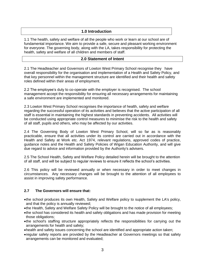#### **1.0 Introduction**

1.1 The health, safety and welfare of all the people who work or learn at our school are of fundamental importance. We aim to provide a safe, secure and pleasant working environment for everyone. The governing body, along with the LA, takes responsibility for protecting the health, safety and welfare of all children and members of staff.

#### **2.0 Statement of Intent**

2.1 The Headteacher and Governors of Lowton West Primary School recognise they have overall responsibility for the organisation and implementation of a Health and Safety Policy, and that key personnel within the management structure are identified and their health and safety roles defined within their areas of employment.

2.2 The employee's duty to co-operate with the employer is recognised. The school management accept the responsibility for ensuring all necessary arrangements for maintaining a safe environment are implemented and monitored.

2.3 Lowton West Primary School recognises the importance of health, safety and welfare regarding the successful operation of its activities and believes that the active participation of all staff is essential in maintaining the highest standards in preventing accidents. All activities will be conducted using appropriate control measures to minimise the risk to the health and safety of all staff, pupils and others, who may be affected by our activities.

2.4 The Governing Body of Lowton West Primary School, will so far as is reasonably practicable, ensure that all activities under its control are carried out in accordance with the Health and Safety at Work etc. Act 1974, relevant regulations, approved codes of practice, guidance notes and the Health and Safety Policies of Wigan Education Authority, and will give due regard to advice and information provided by the Authority's advisers.

2.5 The School Health, Safety and Welfare Policy detailed herein will be brought to the attention of all staff, and will be subject to regular reviews to ensure it reflects the school's activities.

2.6 This policy will be reviewed annually or when necessary in order to meet changes in circumstances. Any necessary changes will be brought to the attention of all employees to assist in improving safety performance.

#### **2.7 The Governors will ensure that:**

- the school produces its own Health, Safety and Welfare policy to supplement the LA's policy, and that the policy is annually reviewed;
- the Health, Safety and Welfare Safety Policy will be brought to the notice of all employees;
- the school has considered its health and safety obligations and has made provision for meeting those obligations;
- the school's staffing structure appropriately reflects the responsibilities for carrying out the arrangements for health and safety;
- health and safety issues concerning the school are identified and appropriate action taken;
- regular safety reports are provided by the Headteacher at Governors meetings so that safety arrangements can be monitored and evaluated;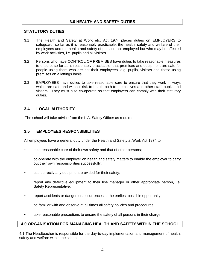#### **3.0 HEALTH AND SAFETY DUTIES**

#### **STATUTORY DUTIES**

- 3.1 The Health and Safety at Work etc. Act 1974 places duties on EMPLOYERS to safeguard, so far as it is reasonably practicable, the health, safety and welfare of their employees and the health and safety of persons not employed but who may be affected by work activities, i.e. pupils and all visitors.
- 3.2 Persons who have CONTROL OF PREMISES have duties to take reasonable measures to ensure, so far as is reasonably practicable, that premises and equipment are safe for people using them who are not their employees, e.g. pupils, visitors and those using premises on a lettings basis.
- 3.3 EMPLOYEES have duties to take reasonable care to ensure that they work in ways which are safe and without risk to health both to themselves and other staff, pupils and visitors. They must also co-operate so that employers can comply with their statutory duties.

#### **3.4 LOCAL AUTHORITY**

The school will take advice from the L.A. Safety Officer as required.

#### **3.5 EMPLOYEES RESPONSIBILITIES**

All employees have a general duty under the Health and Safety at Work Act 1974 to:

- take reasonable care of their own safety and that of other persons;
- co-operate with the employer on health and safety matters to enable the employer to carry out their own responsibilities successfully;
- use correctly any equipment provided for their safety;
- report any defective equipment to their line manager or other appropriate person, i.e. Safety Representative;
- report accidents or dangerous occurrences at the earliest possible opportunity;
- be familiar with and observe at all times all safety policies and procedures;
- take reasonable precautions to ensure the safety of all persons in their charge.

#### **4.0 ORGANISATION FOR MANAGING HEALTH AND SAFETY WITHIN THE SCHOOL**

4.1 The Headteacher is responsible for the day-to-day implementation and management of health, safety and welfare within the school.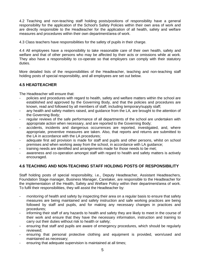4.2 Teaching and non-teaching staff holding posts/positions of responsibility have a general responsibility for the application of the School's Safety Policies within their own area of work and are directly responsible to the Headteacher for the application of all health, safety and welfare measures and procedures within their own department/area of work.

4.3 Class teachers have responsibilities for the safety of pupils in their charge.

4.4 All employees have a responsibility to take reasonable care of their own health, safety and welfare and that of other persons who may be affected by their acts or omissions while at work. They also have a responsibility to co-operate so that employers can comply with their statutory duties.

More detailed lists of the responsibilities of the Headteacher, teaching and non-teaching staff holding posts of special responsibility, and all employees are set out below.

#### **4.5 HEADTEACHER**

The Headteacher will ensure that:

- policies and procedures with regard to health, safety and welfare matters within the school are established and approved by the Governing Body, and that the policies and procedures are known, read and followed by all members of staff, including temporary/supply staff;
- any health and safety matters raised, and guidance from the LA, are brought to the attention of the Governing Body;
- regular reviews of the safe performance of all departments of the school are undertaken with appropriate action when necessary, and are reported to the Governing Body;
- accidents, incidents and dangerous occurrences are reported, investigated, and, where appropriate, preventive measures are taken. Also, that reports and returns are submitted to the LA in accordance with the LA procedures;
- adequate first aid provision is made for staff and pupils and other persons, whilst on school premises and when working away from the school, in accordance with LA guidance;
- training needs are identified and arrangements made for those needs to be met;
- awareness and co-operation amongst staff with regard to health and safety matters is actively encouraged.

#### **4.6 TEACHING AND NON-TEACHING STAFF HOLDING POSTS OF RESPONSIBILITY**

Staff holding posts of special responsibility, i.e., Deputy Headteacher, Assistant Headteachers, Foundation Stage manager, Business Manager, Caretaker, are responsible to the Headteacher for the implementation of the Health, Safety and Welfare Policy within their department/area of work. To fulfil their responsibilities, they will assist the Headteacher by:

- monitoring of health and safety by inspecting their area on a regular basis to ensure that safety measures are being maintained and safety instruction and safe working practices are being followed by staff and pupils, and for making any necessary changes in practices and procedures;
- informing their staff of any hazards to health and safety they are likely to meet in the course of their work and ensure that they have the necessary information, instruction and training to carry out their duties without risk to health or safety;
- ensuring that staff and pupils are aware of emergency procedures, which should be regularly reviewed;
- ensuring that personal protective clothing and equipment is provided, worn/used and maintained as necessary;
- ensuring that adequate supervision is maintained at all times;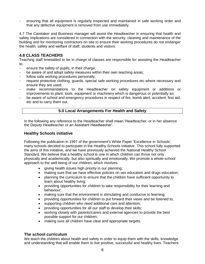ensuring that all equipment is regularly inspected and maintained in safe working order and that any defective equipment is removed from use immediately.

4.7 The Caretaker and Business manager will assist the Headteacher in ensuring that health and safety implications are considered in connection with the security, cleaning and maintenance of the building and for monitoring contractors on site to ensure their working procedures do not endanger the health, safety and welfare of staff, students and visitors.

#### **4.8 CLASS TEACHERS**

Teaching staff timetabled to be in charge of classes are responsible for assisting the Headteacher to:

- ensure the safety of pupils, in their charge;
- be aware of and adopt safety measures within their own teaching areas;
- follow safe working procedures personally;
- request protective clothing, guards, special safe working procedures etc where necessary and ensure they are used;
- make recommendations to the Headteacher on safety equipment or additions or improvements to plant, tools, equipment or machinery which is dangerous or potentially so;
- be aware of school and emergency procedures in respect of fire, bomb alert, accident, first aid, etc and to carry them out.

#### **5.0 Local Arrangements For Health and Safety**

In the following any reference to the Headteacher shall mean 'Headteacher, or in her absence the Deputy Headteacher or an Assistant Headteacher'.

#### **Healthy Schools initiative**

Following the publication in 1997 of the government's White Paper 'Excellence in Schools', many schools decided to participate in the Healthy Schools initiative. This school fully supported the aims of this initiative, and we have previously achieved the National Healthy School Standard. We believe that a healthy school is one in which children can thrive not only physically and academically, but also spiritually and emotionally. We promote a whole-school approach to the well-being of our children, which involves:

- giving health issues high priority in our planning;
- making sure that we have effective policies on sex education and drugs education;
- planning the curriculum to ensure that the children have sufficient opportunity to learn about healthy living;
- providing opportunities for children to take responsibility for their learning and behaviour;
- making sure that the environment is stimulating and conducive to learning;
- providing opportunities for children to put forward their views and be listened to;
- supporting children who need additional care and attention;
- providing opportunities for all our staff to develop their skills;
- working closely with parents/carers and external agencies to provide the best possible support for our children;
- making sure all children have clear and appropriate targets.

#### **The school curriculum**

We teach the children about health and safety in order to equip them with the skills, knowledge and understanding that will enable them to live positive, successful and healthy lives. Teachers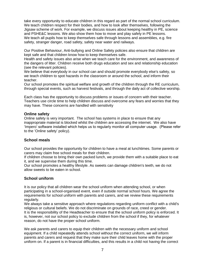take every opportunity to educate children in this regard as part of the normal school curriculum. We teach children respect for their bodies, and how to look after themselves, following the Jigsaw scheme of work. For example, we discuss issues about keeping healthy in PE, science and PSHE&C lessons. We also show them how to move and play safely in PE lessons. We teach all pupils how to keep themselves safe through lessons and assemblies, e.g. fire safety, stranger danger, road safety, safety near water and railways.

Our Positive Behaviour, Anti-bullying and Online Safety policies also ensure that children are kept safe and that children know how to keep themselves safe.

Health and safety issues also arise when we teach care for the environment, and awareness of the dangers of litter. Children receive both drugs education and sex and relationship education (see the relevant policies).

We believe that everybody in our school can and should promote everybody else's safety, so we teach children to spot hazards in the classroom or around the school, and inform their teacher.

Our school promotes the spiritual welfare and growth of the children through the RE curriculum, through special events, such as harvest festivals, and through the daily act of collective worship.

Each class has the opportunity to discuss problems or issues of concern with their teacher. Teachers use circle time to help children discuss and overcome any fears and worries that they may have. These concerns are handled with sensitivity

#### **Online safety**

Online safety is very important. The school has systems in place to ensure that any inappropriate material is blocked whilst the children are accessing the internet. We also have 'Impero' software installed which helps us to regularly monitor all computer usage. (Please refer to the 'Online safety' policy).

#### **School meals**

Our school provides the opportunity for children to have a meal at lunchtimes. Some parents or carers may claim free school meals for their children.

If children choose to bring their own packed lunch, we provide them with a suitable place to eat it, and we supervise them during this time.

Our school promotes a healthy lifestyle. As sweets can damage children's teeth, we do not allow sweets to be eaten in school.

#### **School uniform**

It is our policy that all children wear the school uniform when attending school, or when participating in a school-organised event, even if outside normal school hours. We agree the requirements for school uniform with parents and carers, and we review these requirements regularly.

We always take a sensitive approach where regulations regarding uniform conflict with a child's religious or cultural beliefs. We do not discriminate on grounds of race, creed or gender. It is the responsibility of the Headteacher to ensure that the school uniform policy is enforced. It is, however, not our school policy to exclude children from the school if they, for whatever reason, do not have the proper school uniform.

We ask parents and carers to equip their children with the necessary uniform and school equipment. If a child repeatedly attends school without the correct uniform, we will inform parents and carers and request that they make sure their child leaves home with the proper uniform on. If a parent is in financial difficulties, and this results in a child not having the correct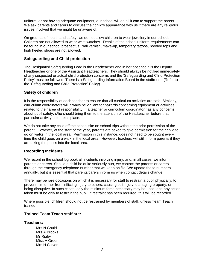uniform, or not having adequate equipment, our school will do all it can to support the parent. We ask parents and carers to discuss their child's appearance with us if there are any religious issues involved that we might be unaware of.

On grounds of health and safety, we do not allow children to wear jewellery in our school. Children are not allowed to wear wrist watches. Details of the school uniform requirements can be found in our school prospectus. Nail varnish, make-up, temporary tattoos, hooded tops and high heeled shoes are not allowed.

#### **Safeguarding and Child protection**

The Designated Safeguarding Lead is the Headteacher and in her absence it is the Deputy Headteacher or one of the Assistant Headteachers. They should always be notified immediately of any suspected or actual child protection concerns and the 'Safeguarding and Child Protection Policy' must be followed. There is a Safeguarding Information Board in the staffroom. (Refer to the 'Safeguarding and Child Protection' Policy).

#### **Safety of children**

It is the responsibility of each teacher to ensure that all curriculum activities are safe. Similarly, curriculum coordinators will always be vigilant for hazards concerning equipment or activities related to their area of responsibility. If a teacher or curriculum coordinator has any concerns about pupil safety, s/he should bring them to the attention of the Headteacher before that particular activity next takes place.

We do not take any child off the school site on school trips without the prior permission of the parent. However, at the start of the year, parents are asked to give permission for their child to go on walks in the local area. Permission in this instance, does not need to be sought every time the child goes on a walk in the local area. However, teachers will still inform parents if they are taking the pupils into the local area.

#### **Recording Incidents**

We record in the school log book all incidents involving injury, and, in all cases, we inform parents or carers. Should a child be quite seriously hurt, we contact the parents or carers through the emergency telephone number that we keep on file. We update these numbers annually, but it is essential that parents/carers inform us when contact details change.

There may be rare occasions on which it is necessary for staff to restrain a pupil physically, to prevent him or her from inflicting injury to others, causing self-injury, damaging property, or being disruptive. In such cases, only the minimum force necessary may be used, and any action taken must be only to restrain the pupil. If restraint has been required, this will be recorded.

Where possible, children should not be restrained by members of staff, unless Team Teach trained.

#### **Trained Team Teach staff are:**

#### **Teachers:**

Mrs N Gould Mrs A Brooks Mr Rigby Miss V Green Mrs H Culver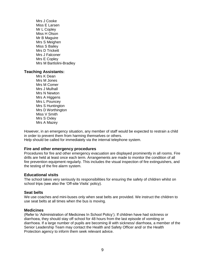Mrs J Cooke Miss E Larsen Mr L Copley Miss H Olson Mr B Maguire Mrs S Meighen Miss S Bailey Mrs D Trickett Mrs J Falconer Mrs E Copley Mrs M Bartlolini-Bradley

#### **Teaching Assistants:**

Mrs K Dean Mrs M Jones Mrs M Comer Mrs J Mulhall Mrs N Newton Mrs A Higgens Mrs L Pouncey Mrs S Huntington Mrs D Worthington Miss V Smith Mrs S Oxley Mrs A Mazey

However, in an emergency situation, any member of staff would be expected to restrain a child in order to prevent them from harming themselves or others. Help should be called for immediately via the internal telephone system.

#### **Fire and other emergency procedures**

Procedures for fire and other emergency evacuation are displayed prominently in all rooms. Fire drills are held at least once each term. Arrangements are made to monitor the condition of all fire prevention equipment regularly. This includes the visual inspection of fire extinguishers, and the testing of the fire alarm system.

#### **Educational visits**

The school takes very seriously its responsibilities for ensuring the safety of children whilst on school trips (see also the 'Off-site Visits' policy).

#### **Seat belts**

We use coaches and mini-buses only when seat belts are provided. We instruct the children to use seat belts at all times when the bus is moving.

#### **Medicines**

(Refer to 'Administration of Medicines In School Policy'). If children have had sickness or diarrhoea, they should stay off school for 48 hours from the last episode of vomiting or diarrhoea. If a large number of pupils are becoming ill with sickness/ diarrhoea, a member of the Senior Leadership Team may contact the Health and Safety Officer and/ or the Health Protection agency to inform them seek relevant advice.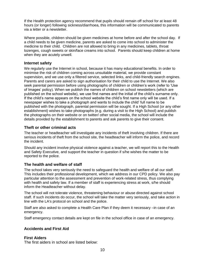If the Health protection agency recommend that pupils should remain off school for at least 48 hours (or longer) following sickness/diarrhoea, this information will be communicated to parents via a letter or a newsletter.

Where possible, children should be given medicines at home before and after the school day. If a child needs to be given medicine, parents are asked to come into school to administer the medicine to their child. Children are not allowed to bring in any medicines, tablets, throat lozenges, cough sweets or skin/face creams into school. Parents should keep children at home when they are acutely unwell.

#### **Internet safety**

We regularly use the Internet in school, because it has many educational benefits. In order to minimise the risk of children coming across unsuitable material, we provide constant supervision, and we use only a filtered service, selected links, and child-friendly search engines. Parents and carers are asked to sign authorisation for their child to use the Internet. We also seek parental permission before using photographs of children or children's work (refer to 'Use of Images' policy). When we publish the names of children on school newsletters (which are published on the school website), we use first names and the initial of the child's surname only. If the child's name appears on the school website the child's first name only will be used. If a newspaper wishes to take a photograph and wants to include the child' full name to be published with the photograph, parental permission will be sought. If a High School (or any other establishment) wishes to take photographs (e.g. during a visit to the High School) and publish the photographs on their website or on twitter/ other social media, the school will include the details provided by the establishment to parents and ask parents to give their consent.

#### **Theft or other criminal acts**

The teacher or headteacher will investigate any incidents of theft involving children. If there are serious incidents of theft from the school site, the headteacher will inform the police, and record the incident.

Should any incident involve physical violence against a teacher, we will report this to the Health and Safety Executive, and support the teacher in question if s/he wishes the matter to be reported to the police.

#### **The health and welfare of staff**

The school takes very seriously the need to safeguard the health and welfare of all our staff. This includes their professional development, which we address in our CPD policy. We also pay particular attention to the assessment and prevention of work-related stress, thus complying with health and safety law. If a member of staff is experiencing stress at work, s/he should inform the Headteacher without delay.

The school will not tolerate violence, threatening behaviour or abuse directed against school staff. If such incidents do occur, the school will take the matter very seriously, and take action in line with the LA's protocol on school and the police.

Staff are also asked to complete a Health Care Plan if they deem it necessary –in case of an emergency.

Staff emergency contact details are kept on file in the school office in case of an emergency.

#### **Accidents and First Aid**

#### **First Aiders**

The first aiders in school are listed below: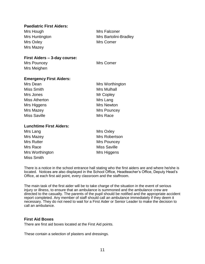#### **Paediatric First Aiders:**

Mrs Hough Mrs Falconer Mrs Huntington Mrs Bartolini-Bradley Mrs Oxley **Mrs** Comer Mrs Mazey

**First Aiders – 3-day course:**

Mrs Pouncey **Mrs** Comer Mrs Meighen

#### **Emergency First Aiders:**

| Mrs Dean             | Mrs Worthington    |  |  |
|----------------------|--------------------|--|--|
| <b>Miss Smith</b>    | <b>Mrs Mulhall</b> |  |  |
| Mrs Jones            | Mr Copley          |  |  |
| <b>Miss Atherton</b> | Mrs Lang           |  |  |
| Mrs Higgens          | Mrs Newton         |  |  |
| Mrs Mazey            | <b>Mrs Pouncey</b> |  |  |
| <b>Miss Saville</b>  | Mrs Race           |  |  |

#### **Lunchtime First Aiders:**

| Mrs Lang          | <b>Mrs Oxley</b>    |  |  |
|-------------------|---------------------|--|--|
| Mrs Mazey         | Mrs Robertson       |  |  |
| <b>Mrs Rutter</b> | Mrs Pouncey         |  |  |
| Mrs Race          | <b>Miss Saville</b> |  |  |
| Mrs Worthington   | Mrs Higgens         |  |  |
| Miss Smith        |                     |  |  |

There is a notice in the school entrance hall stating who the first aiders are and where he/she is located. Notices are also displayed in the School Office, Headteacher's Office, Deputy Head's Office, at each first aid point, every classroom and the staffroom.

The main task of the first aider will be to take charge of the situation in the event of serious injury or illness, to ensure that an ambulance is summoned and the ambulance crew are directed to the casualty. The parents of the pupil should be notified and the appropriate accident report completed. Any member of staff should call an ambulance immediately if they deem it necessary. They do not need to wait for a First Aider or Senior Leader to make the decision to call an ambulance.

#### **First Aid Boxes**

There are first aid boxes located at the First Aid points.

These contain a selection of plasters and dressings.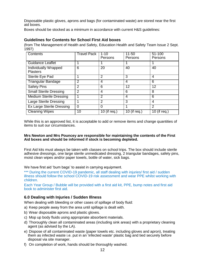Disposable plastic gloves, aprons and bags (for contaminated waste) are stored near the first aid boxes.

Boxes should be stocked as a minimum in accordance with current H&S guidelines:

#### **Guidelines for Contents for School First Aid boxes**

(from The Management of Health and Safety, Education Health and Safety Team Issue 2 Sept. 1997)

| Contents                                | <b>Travel Pack</b> | $1 - 10$<br>Persons | $11 - 50$<br>Persons | 51-100<br>Persons |
|-----------------------------------------|--------------------|---------------------|----------------------|-------------------|
| Guidance Leaflet                        |                    |                     |                      |                   |
| Individually Wrapped<br><b>Plasters</b> | 6                  | 20                  | 40                   | 40                |
| Sterile Eye Pad                         |                    | $\overline{2}$      | 3                    | 4                 |
| <b>Triangular Bandage</b>               | $\overline{2}$     | 4                   | 4                    | 6                 |
| <b>Safety Pins</b>                      | 2                  | 6                   | 12                   | 12                |
| <b>Small Sterile Dressing</b>           | 2                  | 4                   | 6                    | 8                 |
| <b>Medium Sterile Dressing</b>          |                    | 2                   | 4                    | 6                 |
| <b>Large Sterile Dressing</b>           |                    | 2                   | 3                    | 4                 |
| <b>Ex Large Sterile Dressing</b>        | $\Omega$           | 0                   |                      | $\mathcal{P}$     |
| <b>Cleaning Wipes</b>                   | 10                 | 10 (if req.)        | 10 (if req.)         | 10 (if req.)      |

While this is an approved list, it is acceptable to add or remove items and change quantities of items to suit our circumstances.

#### **Mrs Newton and Mrs Pouncey are responsible for maintaining the contents of the First Aid boxes and should be informed if stock is becoming depleted.**

First Aid kits must always be taken with classes on school trips. The box should include sterile adhesive dressings, one large sterile unmedicated dressing, 2 triangular bandages, safety pins, moist clean wipes and/or paper towels, bottle of water, sick bags.

We have first aid 'bum bags' to assist in carrying equipment.

\*\*\* During the current COVID-19 pandemic, all staff dealing with injuries/ first aid / sudden illness should follow the school COVID-19 risk assessment and wear PPE whilst working with children.

Each Year Group / Bubble will be provided with a first aid kit, PPE, bump notes and first aid book to administer first aid.

#### **6.0 Dealing with Injuries / Sudden Illness**

When dealing with bleeding or other cases of spillage of body fluid:

- a) Keep people away from the area until spillage is dealt with.
- b) Wear disposable aprons and plastic gloves.
- c) Mop up body fluids using appropriate absorbent materials.
- d) Thoroughly clean all contaminated areas (including sink areas) with a proprietary cleaning agent (as advised by the LA).
- e) Dispose of all contaminated waste (paper towels etc. including gloves and apron), treating them as infected waste i.e. put in an 'infected waste' plastic bag and tied securely before disposal via site manager.
- f) On completion of work, hands should be thoroughly washed.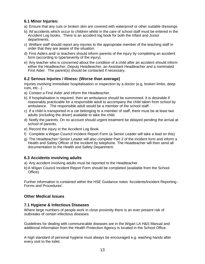#### **6.1 Minor Injuries:**

- a) Ensure that any cuts or broken skin are covered with waterproof or other suitable dressings.
- b) All accidents which occur to children whilst in the care of school staff must be entered in the Accident Log books. There is an accident log book for both the Infant and Junior departments.
- c) Welfare staff should report any injuries to the appropriate member of the teaching staff in order that they are aware of the situation.
- d) First Aiders and/ or teachers should inform parents of the injury by completing an accident form (according to type/severity of the injury).
- e) Any teacher who is concerned about the condition of a child after an accident should inform either the Headteacher, Deputy Headteacher, an Assistant Headteacher and a nominated First Aider. The parent(s) should be contacted if necessary.

#### **6.2 Serious Injuries / illness: (Worse than average)**

Injuries involving immediate hospitalisation or inspection by a doctor (e.g. broken limbs, deep cuts, etc...)

- a) Contact a First Aider and inform the Headteacher.
- b) If hospitalisation is required, then an ambulance should be summoned. It is desirable if reasonably practicable for a responsible adult to accompany the child taken from school by ambulance. The responsible adult would be a member of the school staff.
- c) If a child is transported in a car belonging to a member of staff, there must be at least two adults (including the driver) available to take the child.
- d) Notify the parents. On no account should urgent treatment be delayed pending the arrival at school of parents.
- e) Record the injury in the Accident Log Book.
- f) Complete a Wigan Council Incident Report Form (a Senior Leader will take a lead on this)
- g) The Headteacher/ Senior Leader will also complete Part 2 of the incident form and inform a Health and Safety Officer of the incident by telephone. The Headteacher will then send all documentation to the Health and Safety Department.

#### **6.3 Accidents involving adults**

- a) Any accident involving adults must be reported to the Headteacher.
- b)A Wigan Council Incident Report Form should be completed (available from the School Office).

Further information is contained within the HSE Guidance notes 'Accidents/Incident Reporting - Forms and Procedures'.

#### **Other Medical Issues**

#### **7.1 Hygiene & Infectious Diseases**

Where large numbers of people work in close proximity there is an ever present risk of outbreaks of certain infectious diseases.

Guidelines for dealing with communicable diseases are in the Wigan LA H&S Manual and additional information from the Health Protection Agency is located in the School Office.

A high standard of personal hygiene must always be encouraged e.g. washing hands after every visit to the toilet.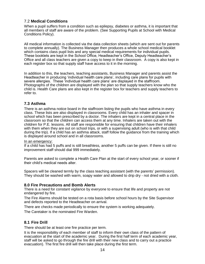#### 7.2 **Medical Conditions**

When a pupil suffers from a condition such as epilepsy, diabetes or asthma, it is important that all members of staff are aware of the problem. (See Supporting Pupils at School with Medical Conditions Policy).

All medical information is collected via the data collection sheets (which are sent out for parents to complete annually). The Business Manager then produces a whole school medical booklet which contains class pupil lists and any special medical requirements for individual pupils. These booklets are kept in the School Office, Headteacher's Office, Deputy Headteacher's Office and all class teachers are given a copy to keep in their classroom. A copy is also kept in each register box so that supply staff have access to it in the morning.

In addition to this, the teachers, teaching assistants, Business Manager and parents assist the Headteacher in producing 'individual health care plans', including care plans for pupils with severe allergies. These 'individual health care plans' are displayed in the staffroom. Photographs of the children are displayed with the plan so that supply teachers know who the child is. Health Care plans are also kept in the register box for teachers and supply teachers to refer to.

#### **7.3 Asthma**

There is an asthma notice board in the staffroom listing the pupils who have asthma in every class. These lists are also displayed in classrooms. Every child has an inhaler and spacer in school which has been prescribed by a doctor. The inhalers are kept in a central place in the classroom so that the children can access them at any time. Inhalers are taken out with the children for P.E. lessons. All staff are responsible for ensuring that children have their inhalers with them when they are out on school trips, or with a supervising adult (who is with that child during the trip). If a child has an asthma attack, staff follow the guidance from the training which is displayed around school and in all classrooms.

#### In an emergency:

If a child has had 5 puffs and is still breathless, another 5 puffs can be given. If there is still no improvement staff should dial 999 immediately.

Parents are asked to complete a Health Care Plan at the start of every school year, or sooner if their child's medical needs alter.

Spacers will be cleaned termly by the class teaching assistant (with the parents' permission). They should be washed with warm, soapy water and allowed to drip dry - not dried with a cloth.

#### **8.0 Fire Precautions and Bomb Alerts**

There is a need for constant vigilance by everyone to ensure that life and property are not endangered by fire.

The Fire Alarms should be tested on a rota basis before school hours by the Site Supervisor and defects reported to the Headteacher on arrival.

There are checks made periodically to ensure the system is working adequately.

The Caretaker is the nominated Fire Warden.

#### **8.1 Fire Drill**

There should be at least one fire practice per term.

It is the responsibility of each member of staff to inform their own class of the pattern of evacuation at the start of the academic year. During the first half term of each academic year, staff will be asked to go through the fire drill with their new class and to carry out a practice evacuation). The first fire drill will then take place during the first term.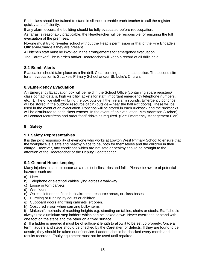Each class should be trained to stand in silence to enable each teacher to call the register quickly and efficiently.

If any alarm occurs, the building should be fully evacuated before reoccupation.

As far as is reasonably practicable, the Headteacher will be responsible for ensuring the full evacuation of the premises.

No-one must try to re-enter school without the Head's permission or that of the Fire Brigade's Officer-in-Charge if they are present.

All kitchen staff must be involved in the arrangements for emergency evacuation.

The Caretaker/ Fire Warden and/or Headteacher will keep a record of all drills held.

#### **8.2 Bomb Alerts**

Evacuation should take place as a fire drill. Clear building and contact police. The second site for an evacuation is St Luke's Primary School and/or St. Luke's Church.

#### **8.3Emergency Evacuation**

An Emergency Evacuation box will be held in the School Office (containing spare registers/ class contact details, high visibility jackets for staff, important emergency telephone numbers, etc…). The office staff will bring the box outside if the fire alarm sounds. Emergency ponchos will be stored in the outdoor resource cabin (outside – near the hall exit doors). These will be used in the event of an evacuation. Ponchos will be stored in each rucksack and the rucksacks will be distributed to each class teacher. In the event of an evacuation, Mrs Adamson (kitchen) will contact Metrofresh and order food/ drinks as required. (See Emergency Management Plan).

#### **9 Safety**

#### **9.1 Safety Representatives**

It is the joint responsibility of everyone who works at Lowton West Primary School to ensure that the workplace is a safe and healthy place to be, both for themselves and the children in their charge. However, any conditions which are not safe or healthy should be brought to the attention of the Headteacher or the Deputy Headteacher.

#### **9.2 General Housekeeping**

Many injuries in schools occur as a result of slips, trips and falls. Please be aware of potential hazards such as:

- a) Litter.
- b) Telephone or electrical cables lying across a walkway.
- c) Loose or torn carpets.
- d) Wet floors.
- e) Objects left on the floor in cloakrooms, resource areas, or class bases.
- f) Hurrying or running by adults or children.
- g) Cupboard doors and filing cabinets left open.
- h) Obscured vision when carrying bulky items.

i) Makeshift methods of reaching heights e.g. standing on tables, chairs or stools. Staff should always use aluminium step ladders which can be locked down. Never overreach or stand with one foot on the steps and the other on a fixed surface.

j) If a ladder is needed it must be of sufficient length to allow it to be set up properly. Once a term, ladders and steps should be checked by the Caretaker for defects. If they are found to be unsafe, they should be taken out of service. Ladders should be checked every month and results recorded. Faulty equipment must not be used until repaired.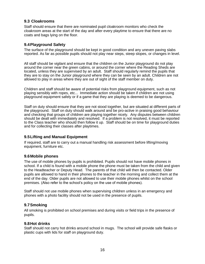#### **9.3 Cloakrooms**

Staff should ensure that there are nominated pupil cloakroom monitors who check the cloakroom areas at the start of the day and after every playtime to ensure that there are no coats and bags lying on the floor.

#### **9.4Playground Safety**

The surface of the playground should be kept in good condition and any uneven paving slabs reported. As far as possible pupils should not play near steps, steep slopes, or changes in level.

All staff should be vigilant and ensure that the children on the Junior playground do not play around the corner near the green cabins, or around the corner where the Reading Sheds are located, unless they are supervised by an adult. Staff should regularly remind the pupils that they are to stay on the Junior playground where they can be seen by an adult. Children are not allowed to play in areas where they are out of sight of the staff member on duty.

Children and staff should be aware of potential risks from playground equipment, such as not playing sensibly with ropes, etc... Immediate action should be taken if children are not using playground equipment safely or if a game that they are playing is deemed to be dangerous.

Staff on duty should ensure that they are not stood together, but are situated at different parts of the playground. Staff on duty should walk around and be pro-active in praising good behaviour and checking that groups of children are playing together nicely. Any disputes between children should be dealt with immediately and resolved. If a problem is not resolved, it must be reported to the Class teacher who should then follow it up. Staff should be on time for playground duties and for collecting their classes after playtimes.

#### **9.5Lifting and Manual Equipment**

If required, staff are to carry out a manual handling risk assessment before lifting/moving equipment, furniture etc.

#### **9.6Mobile phones**

The use of mobile phones by pupils is prohibited. Pupils should not have mobile phones in school. If a child is found with a mobile phone the phone must be taken from the child and given to the Headteacher or Deputy Head. The parents of that child will then be contacted. Older pupils are allowed to hand in their phones to the teacher in the morning and collect them at the end of the day. Older pupils are not allowed to use their mobile phones whilst on the school premises. (Also refer to the school's policy on the use of mobile phones).

Staff should not use mobile phones when supervising children unless in an emergency and phones with a photo facility should not be used in the presence of pupils.

#### **9.7Smoking**

All smoking is prohibited on school premises and during visits or field trips in the presence of pupils.

#### **9.8Hot drinks**

Staff should not carry hot drinks around school in mugs. The school will provide safe flasks or plastic cups with lids for staff on playground duty.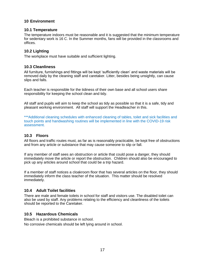#### **10 Environment**

#### **10.1 Temperature**

The temperature indoors must be reasonable and it is suggested that the minimum temperature for sedentary work is 16 C. In the Summer months, fans will be provided in the classrooms and offices.

#### **10.2 Lighting**

The workplace must have suitable and sufficient lighting.

#### **10.3 Cleanliness**

All furniture, furnishings and fittings will be kept 'sufficiently clean' and waste materials will be removed daily by the cleaning staff and caretaker. Litter, besides being unsightly, can cause slips and falls.

Each teacher is responsible for the tidiness of their own base and all school users share responsibility for keeping the school clean and tidy.

All staff and pupils will aim to keep the school as tidy as possible so that it is a safe, tidy and pleasant working environment. All staff will support the Headteacher in this.

\*\*\*Additional cleaning schedules with enhanced cleaning of tables, toilet and sick facilities and touch points and handwashing routines will be implemented in line with the COVID-19 risk assessment.

#### **10.3 Floors**

All floors and traffic routes must, as far as is reasonably practicable, be kept free of obstructions and from any article or substance that may cause someone to slip or fall.

If any member of staff sees an obstruction or article that could pose a danger, they should immediately move the article or report the obstruction. Children should also be encouraged to pick up any articles around school that could be a trip hazard.

If a member of staff notices a cloakroom floor that has several articles on the floor, they should immediately inform the class teacher of the situation. This matter should be resolved immediately.

#### **10.4 Adult Toilet facilities**

There are male and female toilets in school for staff and visitors use. The disabled toilet can also be used by staff. Any problems relating to the efficiency and cleanliness of the toilets should be reported to the Caretaker.

#### **10.5 Hazardous Chemicals**

Bleach is a prohibited substance in school. No corrosive chemicals should be left lying around in school.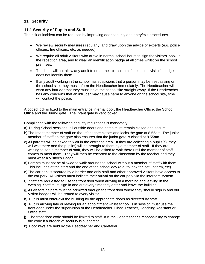#### **11 Security**

#### **11.1 Security of Pupils and Staff**

The risk of incident can be reduced by improving door security and entry/exit procedures.

- We review security measures regularly, and draw upon the advice of experts (e.g. police officers, fire officers, etc. as needed).
- We require all adult visitors who arrive in normal school hours to sign the visitors' book in the reception area, and to wear an identification badge at all times whilst on the school premises.
- Teachers will not allow any adult to enter their classroom if the school visitor's badge does not identify them.
- If any adult working in the school has suspicions that a person may be trespassing on the school site, they must inform the Headteacher immediately. The Headteacher will warn any intruder that they must leave the school site straight away. If the Headteacher has any concerns that an intruder may cause harm to anyone on the school site, s/he will contact the police.

A coded lock is fitted to the main entrance internal door, the Headteacher Office, the School Office and the Junior gate. The Infant gate is kept locked.

Compliance with the following security regulations is mandatory.

- a) During School sessions, all outside doors and gates must remain closed and secure.
- b)The Infant member of staff on the Infant gate closes and locks the gate at 8.55am. The junior member of staff on the gate also ensures that the junior gate is closed at 8.55am.
- c) All parents will be asked to wait in the entrance area. If they are collecting a pupils(s), they will wait there and the pupil(s) will be brought to them by a member of staff. If they are waiting to see a member of staff, they will be asked to wait there until the member of staff comes to meet them. They will then be escorted to the classroom by the teacher and they must wear a Visitor's Badge.
- d)Parents must not be allowed to walk around the school without a member of staff with them. This includes at the start and the end of the school day (e.g. to look for lost uniform, etc)
- e)The car park is secured by a barrier and only staff and other approved visitors have access to the car park. All visitors must indicate their arrival on the car park via the intercom system.
- f) Staff are requested to use the front door when arriving in a morning and leaving in the evening. Staff must sign in and out every time they enter and leave the building.
- g)All visitors/helpers must be admitted through the front door where they should sign in and out. Visitor badges will be issued to every visitor.
- h) Pupils must enter/exit the building by the appropriate doors as directed by staff.
- i) Pupils arriving late or leaving for an appointment whilst school is in session must use the front door under the supervision of the Headteacher, Class Teacher, Teaching Assistant or Office staff.
- j) The front door code should be limited to staff. It is the Headteacher's responsibility to change the code if a breech of security is suspected.
- k) Door keys are held by the Headteacher and Caretaker.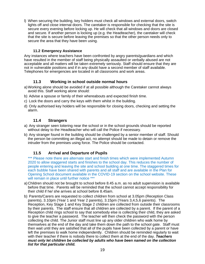l) When securing the building, key holders must check all windows and external doors, switch lights off and close internal doors. The caretaker is responsible for checking that the site is secure every evening before locking up. He will check that all windows and doors are closed and secure. If another person is locking up (e.g. the Headteacher), the caretaker will check that the site is secure before leaving the premises so that the other person needs only to secure the area that they have been using.

#### **11.2 Emergency Assistance**

Any instances where teachers have been confronted by angry parents/guardians and which have resulted in the member of staff being physically assaulted or verbally abused are not acceptable and all matters will be taken extremely seriously. Staff should ensure that they are not in vulnerable positions and if in any doubt have a second member of staff available. Telephones for emergencies are located in all classrooms and work areas.

#### **11.3 Working in school outside normal hours**

- a)Working alone should be avoided if at all possible although the Caretaker cannot always avoid this. Staff working alone should:
- b) Advise a spouse or family of their whereabouts and expected finish time.
- c) Lock the doors and carry the keys with them whilst in the building.
- d) Only authorised key holders will be responsible for closing doors, checking and setting the alarm.

#### **11.4 Strangers**

- a) Any stranger seen loitering near the school or in the school grounds should be reported without delay to the Headteacher who will call the Police if necessary.
- b) Any stranger found in the building should be challenged by a senior member of staff. Should the person be committing an illegal act, no attempt should be made to detain or remove the intruder from the premises using force. The Police should be contacted.

#### **11.5 Arrival and Departure of Pupils**

\*\*\* Please note there are alternate start and finish times which were implemented Autumn 2020 to allow staggered starts and finishes to the school day. This reduces the number of people entering and leaving the site and school building at one time. The staggered times for each bubble have been shared with parents and all staff and are available in the Plan for Opening School document available in the COVID-19 section on the school website. These will remain in place until further notice \*\*\*

- a) Children should not be brought to school before 8.45 a.m. as no adult supervision is available before that time. Parents will be reminded that the school cannot accept responsibility for their child if he/ she arrives at school before 8.45am.
- b) Parents/Carers are requested to collect children from school at 3.05pm (Reception Class parents), 3.10pm (Year 1 and Year 2 parents), 3.15pm (Years 3,4,5,6 parents). The Reception, Key Stage 1 and Key Stage 2 children are collected from outside their classrooms by their parents. The staff ensure that all children are collected by a parent. If the parent of a Reception child rings school to say that somebody else is collecting their child, they are asked to give the teacher a password. The teacher will then check the password with the person collecting the child. The Junior staff must line up any older children who walk home by themselves at the end of the day and take them down the path to the school gate. Staff must then wait until they are satisfied that all of the pupils have been collected by a parent or have left the premises to walk home independently. Children should be reminded regularly to wait with their teacher if there is nobody there to collect them at the end of the day. *Teachers must only let children be collected by adults who have been named on the collection list for that particular child.*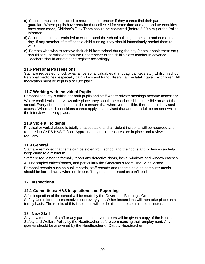- c) Children must be instructed to return to their teacher if they cannot find their parent or guardian. Where pupils have remained uncollected for some time and appropriate enquiries have been made, Children's Duty Team should be contacted (before 5.00 p.m.) or the Police informed.
- d) Children should be reminded to walk around the school building at the start and end of the day. If any member of staff sees a child running, they should immediately remind them to walk.
- e) Parents who wish to remove their child from school during the day (dental appointment etc.) should seek permission from the Headteacher or the child's class teacher in advance. Teachers should annotate the register accordingly.

#### **11.6 Personal Possessions**

Staff are requested to lock away all personal valuables (handbag, car keys etc.) whilst in school. Personal medicines, especially pain killers and tranquillisers can be fatal if taken by children. All medication must be kept in a secure place.

#### **11.7 Working with Individual Pupils**

Personal security is critical for both pupils and staff where private meetings become necessary. Where confidential interviews take place, they should be conducted in accessible areas of the school. Every effort should be made to ensure that wherever possible, there should be visual access. Where such conditions cannot apply, it is advised that another adult be present whilst the interview is taking place.

#### **11.8 Violent Incidents**

Physical or verbal abuse is totally unacceptable and all violent incidents will be recorded and reported to CYPS H&S Officer. Appropriate control measures are in place and reviewed regularly.

#### **11.9 General**

Staff are reminded that items can be stolen from school and their constant vigilance can help keep crime to a minimum.

Staff are requested to formally report any defective doors, locks, windows and window catches. All unoccupied offices/rooms, and particularly the Caretaker's room, should be locked.

Personal records such as pupil records, staff records and records held on computer media should be locked away when not in use. They must be treated as confidential.

#### **12 Inspections**

#### **12.1 Committees: H&S Inspections and Reporting**

A full inspection of the school will be made by the Governors' Buildings, Grounds, health and Safety Committee representative once every year. Other inspections will then take place on a termly basis. The results of this inspection will be detailed in the committee's minutes.

#### **13 New Staff**

Any new member of staff or any parent helper volunteers will be given a copy of the Health, Safety and Welfare Policy by the Headteacher before commencing their employment. Any queries should be answered by the Headteacher or Deputy Headteacher.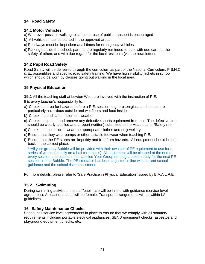#### **14 Road Safety**

#### **14.1 Motor Vehicles**

- a)Wherever possible walking to school or use of public transport is encouraged
- b) All vehicles must be parked in the approved areas.
- c) Roadways must be kept clear at all times for emergency vehicles.
- d)Parking outside the school: parents are regularly reminded to park with due care for the safety of others and with due regard for the local residents (via the newsletter).

#### **14.2 Pupil Road Safety**

Road Safety will be delivered through the curriculum as part of the National Curriculum, P.S.H.C & E., assemblies and specific road safety training. We have high visibility jackets in school which should be worn by classes going out walking in the local area.

#### **15 Physical Education**

**15.1** All the teaching staff at Lowton West are involved with the instruction of P.E.

It is every teacher's responsibility to: -

- a) Check the area for hazards before a P.E. session, e.g. broken glass and stones are particularly hazardous outside and wet floors and food inside.
- b) Check the pitch after inclement weather.
- c) Check equipment and remove any defective sports equipment from use. The defective item should be clearly labelled and a report (written) submitted to the Headteacher/Safety rep.
- d) Check that the children wear the appropriate clothes and no jewellery.
- e)Ensure that they wear pumps or other suitable footwear when teaching P.E.
- f) Ensure that the PE stores are kept tidy and free from hazards. All equipment should be put back in the correct place.

\*\*All year groups/ Bubble will be provided with their own set of PE equipment to use for a series of weeks (usually on a half term basis). All equipment will be cleaned at the end of every session and placed in the labelled Year Group net bags/ boxes ready for the next PE session in that Bubble. The PE timetable has been adjusted in line with current school guidance and the school risk assessment.

For more details, please refer to 'Safe Practice in Physical Education' issued by B.A.A.L.P.E.

#### **15.2 Swimming**

During swimming activities, the staff/pupil ratio will be in line with guidance (service-level agreement). At least one adult will be female. Transport arrangements will be within LA guidelines.

#### **16 Safety Maintenance Checks**

School has service level agreements in place to ensure that we comply with all statutory requirements including portable electrical appliances, SEND equipment checks, asbestos and playground equipment checks, etc…